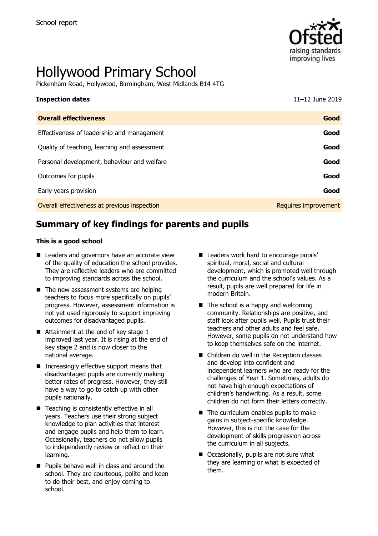

# Hollywood Primary School

Pickenham Road, Hollywood, Birmingham, West Midlands B14 4TG

| <b>Inspection dates</b>                      | 11-12 June 2019      |
|----------------------------------------------|----------------------|
| <b>Overall effectiveness</b>                 | Good                 |
| Effectiveness of leadership and management   | Good                 |
| Quality of teaching, learning and assessment | Good                 |
| Personal development, behaviour and welfare  | Good                 |
| Outcomes for pupils                          | Good                 |
| Early years provision                        | Good                 |
| Overall effectiveness at previous inspection | Requires improvement |

# **Summary of key findings for parents and pupils**

#### **This is a good school**

- Leaders and governors have an accurate view of the quality of education the school provides. They are reflective leaders who are committed to improving standards across the school.
- $\blacksquare$  The new assessment systems are helping teachers to focus more specifically on pupils' progress. However, assessment information is not yet used rigorously to support improving outcomes for disadvantaged pupils.
- $\blacksquare$  Attainment at the end of key stage 1 improved last year. It is rising at the end of key stage 2 and is now closer to the national average.
- Increasingly effective support means that disadvantaged pupils are currently making better rates of progress. However, they still have a way to go to catch up with other pupils nationally.
- Teaching is consistently effective in all years. Teachers use their strong subject knowledge to plan activities that interest and engage pupils and help them to learn. Occasionally, teachers do not allow pupils to independently review or reflect on their learning.
- **Pupils behave well in class and around the** school. They are courteous, polite and keen to do their best, and enjoy coming to school.
- **Leaders work hard to encourage pupils'** spiritual, moral, social and cultural development, which is promoted well through the curriculum and the school's values. As a result, pupils are well prepared for life in modern Britain.
- $\blacksquare$  The school is a happy and welcoming community. Relationships are positive, and staff look after pupils well. Pupils trust their teachers and other adults and feel safe. However, some pupils do not understand how to keep themselves safe on the internet.
- Children do well in the Reception classes and develop into confident and independent learners who are ready for the challenges of Year 1. Sometimes, adults do not have high enough expectations of children's handwriting. As a result, some children do not form their letters correctly.
- The curriculum enables pupils to make gains in subject-specific knowledge. However, this is not the case for the development of skills progression across the curriculum in all subjects.
- Occasionally, pupils are not sure what they are learning or what is expected of them.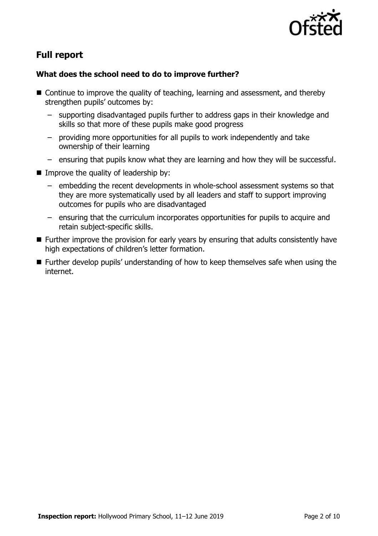

# **Full report**

### **What does the school need to do to improve further?**

- Continue to improve the quality of teaching, learning and assessment, and thereby strengthen pupils' outcomes by:
	- supporting disadvantaged pupils further to address gaps in their knowledge and skills so that more of these pupils make good progress
	- providing more opportunities for all pupils to work independently and take ownership of their learning
	- ensuring that pupils know what they are learning and how they will be successful.
- $\blacksquare$  Improve the quality of leadership by:
	- embedding the recent developments in whole-school assessment systems so that they are more systematically used by all leaders and staff to support improving outcomes for pupils who are disadvantaged
	- ensuring that the curriculum incorporates opportunities for pupils to acquire and retain subject-specific skills.
- **Further improve the provision for early years by ensuring that adults consistently have** high expectations of children's letter formation.
- Further develop pupils' understanding of how to keep themselves safe when using the internet.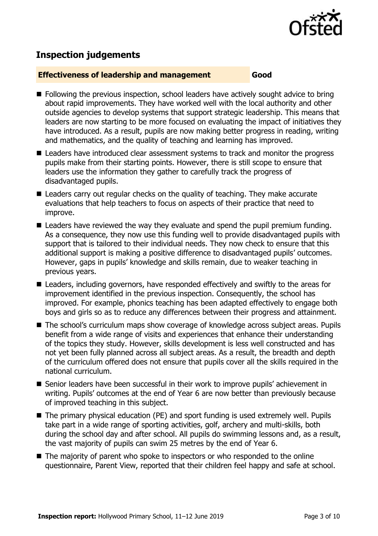

# **Inspection judgements**

#### **Effectiveness of leadership and management Good**

- **Following the previous inspection, school leaders have actively sought advice to bring** about rapid improvements. They have worked well with the local authority and other outside agencies to develop systems that support strategic leadership. This means that leaders are now starting to be more focused on evaluating the impact of initiatives they have introduced. As a result, pupils are now making better progress in reading, writing and mathematics, and the quality of teaching and learning has improved.
- **Leaders have introduced clear assessment systems to track and monitor the progress** pupils make from their starting points. However, there is still scope to ensure that leaders use the information they gather to carefully track the progress of disadvantaged pupils.
- Leaders carry out regular checks on the quality of teaching. They make accurate evaluations that help teachers to focus on aspects of their practice that need to improve.
- Leaders have reviewed the way they evaluate and spend the pupil premium funding. As a consequence, they now use this funding well to provide disadvantaged pupils with support that is tailored to their individual needs. They now check to ensure that this additional support is making a positive difference to disadvantaged pupils' outcomes. However, gaps in pupils' knowledge and skills remain, due to weaker teaching in previous years.
- Leaders, including governors, have responded effectively and swiftly to the areas for improvement identified in the previous inspection. Consequently, the school has improved. For example, phonics teaching has been adapted effectively to engage both boys and girls so as to reduce any differences between their progress and attainment.
- The school's curriculum maps show coverage of knowledge across subject areas. Pupils benefit from a wide range of visits and experiences that enhance their understanding of the topics they study. However, skills development is less well constructed and has not yet been fully planned across all subject areas. As a result, the breadth and depth of the curriculum offered does not ensure that pupils cover all the skills required in the national curriculum.
- Senior leaders have been successful in their work to improve pupils' achievement in writing. Pupils' outcomes at the end of Year 6 are now better than previously because of improved teaching in this subject.
- The primary physical education (PE) and sport funding is used extremely well. Pupils take part in a wide range of sporting activities, golf, archery and multi-skills, both during the school day and after school. All pupils do swimming lessons and, as a result, the vast majority of pupils can swim 25 metres by the end of Year 6.
- The majority of parent who spoke to inspectors or who responded to the online questionnaire, Parent View, reported that their children feel happy and safe at school.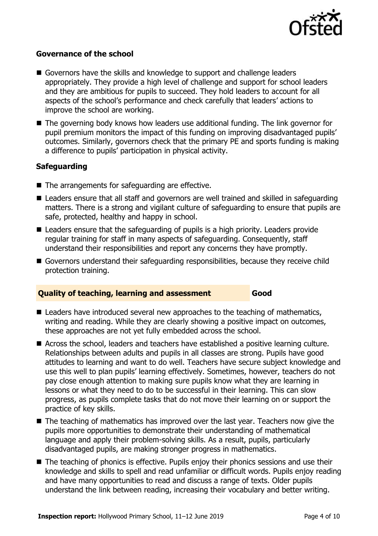

#### **Governance of the school**

- Governors have the skills and knowledge to support and challenge leaders appropriately. They provide a high level of challenge and support for school leaders and they are ambitious for pupils to succeed. They hold leaders to account for all aspects of the school's performance and check carefully that leaders' actions to improve the school are working.
- The governing body knows how leaders use additional funding. The link governor for pupil premium monitors the impact of this funding on improving disadvantaged pupils' outcomes. Similarly, governors check that the primary PE and sports funding is making a difference to pupils' participation in physical activity.

#### **Safeguarding**

- $\blacksquare$  The arrangements for safeguarding are effective.
- Leaders ensure that all staff and governors are well trained and skilled in safeguarding matters. There is a strong and vigilant culture of safeguarding to ensure that pupils are safe, protected, healthy and happy in school.
- Leaders ensure that the safeguarding of pupils is a high priority. Leaders provide regular training for staff in many aspects of safeguarding. Consequently, staff understand their responsibilities and report any concerns they have promptly.
- Governors understand their safeguarding responsibilities, because they receive child protection training.

#### **Quality of teaching, learning and assessment Good**

- Leaders have introduced several new approaches to the teaching of mathematics, writing and reading. While they are clearly showing a positive impact on outcomes, these approaches are not yet fully embedded across the school.
- Across the school, leaders and teachers have established a positive learning culture. Relationships between adults and pupils in all classes are strong. Pupils have good attitudes to learning and want to do well. Teachers have secure subject knowledge and use this well to plan pupils' learning effectively. Sometimes, however, teachers do not pay close enough attention to making sure pupils know what they are learning in lessons or what they need to do to be successful in their learning. This can slow progress, as pupils complete tasks that do not move their learning on or support the practice of key skills.
- The teaching of mathematics has improved over the last year. Teachers now give the pupils more opportunities to demonstrate their understanding of mathematical language and apply their problem-solving skills. As a result, pupils, particularly disadvantaged pupils, are making stronger progress in mathematics.
- The teaching of phonics is effective. Pupils enjoy their phonics sessions and use their knowledge and skills to spell and read unfamiliar or difficult words. Pupils enjoy reading and have many opportunities to read and discuss a range of texts. Older pupils understand the link between reading, increasing their vocabulary and better writing.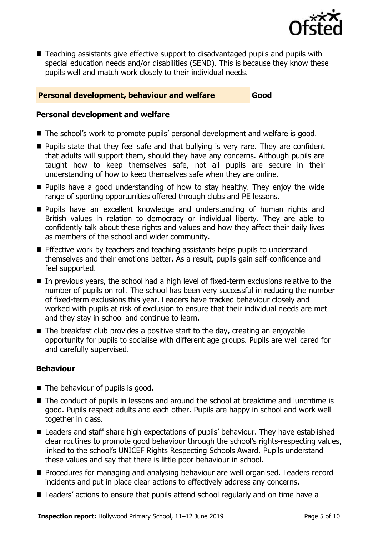

■ Teaching assistants give effective support to disadvantaged pupils and pupils with special education needs and/or disabilities (SEND). This is because they know these pupils well and match work closely to their individual needs.

#### **Personal development, behaviour and welfare <b>Good**

#### **Personal development and welfare**

- The school's work to promote pupils' personal development and welfare is good.
- **Pupils state that they feel safe and that bullying is very rare. They are confident** that adults will support them, should they have any concerns. Although pupils are taught how to keep themselves safe, not all pupils are secure in their understanding of how to keep themselves safe when they are online.
- **Pupils have a good understanding of how to stay healthy. They enjoy the wide** range of sporting opportunities offered through clubs and PE lessons.
- **Pupils have an excellent knowledge and understanding of human rights and** British values in relation to democracy or individual liberty. They are able to confidently talk about these rights and values and how they affect their daily lives as members of the school and wider community.
- **Effective work by teachers and teaching assistants helps pupils to understand** themselves and their emotions better. As a result, pupils gain self-confidence and feel supported.
- In previous years, the school had a high level of fixed-term exclusions relative to the number of pupils on roll. The school has been very successful in reducing the number of fixed-term exclusions this year. Leaders have tracked behaviour closely and worked with pupils at risk of exclusion to ensure that their individual needs are met and they stay in school and continue to learn.
- The breakfast club provides a positive start to the day, creating an enjoyable opportunity for pupils to socialise with different age groups. Pupils are well cared for and carefully supervised.

#### **Behaviour**

- The behaviour of pupils is good.
- The conduct of pupils in lessons and around the school at breaktime and lunchtime is good. Pupils respect adults and each other. Pupils are happy in school and work well together in class.
- Leaders and staff share high expectations of pupils' behaviour. They have established clear routines to promote good behaviour through the school's rights-respecting values, linked to the school's UNICEF Rights Respecting Schools Award. Pupils understand these values and say that there is little poor behaviour in school.
- **Procedures for managing and analysing behaviour are well organised. Leaders record** incidents and put in place clear actions to effectively address any concerns.
- Leaders' actions to ensure that pupils attend school regularly and on time have a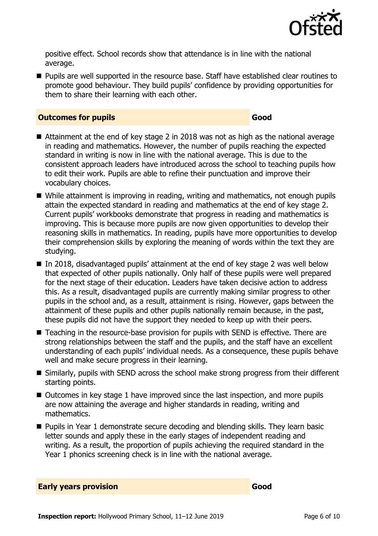

positive effect. School records show that attendance is in line with the national average.

**Pupils are well supported in the resource base. Staff have established clear routines to** promote good behaviour. They build pupils' confidence by providing opportunities for them to share their learning with each other.

#### **Outcomes for pupils Good Good**

- Attainment at the end of key stage 2 in 2018 was not as high as the national average in reading and mathematics. However, the number of pupils reaching the expected standard in writing is now in line with the national average. This is due to the consistent approach leaders have introduced across the school to teaching pupils how to edit their work. Pupils are able to refine their punctuation and improve their vocabulary choices.
- While attainment is improving in reading, writing and mathematics, not enough pupils attain the expected standard in reading and mathematics at the end of key stage 2. Current pupils' workbooks demonstrate that progress in reading and mathematics is improving. This is because more pupils are now given opportunities to develop their reasoning skills in mathematics. In reading, pupils have more opportunities to develop their comprehension skills by exploring the meaning of words within the text they are studying.
- In 2018, disadvantaged pupils' attainment at the end of key stage 2 was well below that expected of other pupils nationally. Only half of these pupils were well prepared for the next stage of their education. Leaders have taken decisive action to address this. As a result, disadvantaged pupils are currently making similar progress to other pupils in the school and, as a result, attainment is rising. However, gaps between the attainment of these pupils and other pupils nationally remain because, in the past, these pupils did not have the support they needed to keep up with their peers.
- Teaching in the resource-base provision for pupils with SEND is effective. There are strong relationships between the staff and the pupils, and the staff have an excellent understanding of each pupils' individual needs. As a consequence, these pupils behave well and make secure progress in their learning.
- Similarly, pupils with SEND across the school make strong progress from their different starting points.
- Outcomes in key stage 1 have improved since the last inspection, and more pupils are now attaining the average and higher standards in reading, writing and mathematics.
- Pupils in Year 1 demonstrate secure decoding and blending skills. They learn basic letter sounds and apply these in the early stages of independent reading and writing. As a result, the proportion of pupils achieving the required standard in the Year 1 phonics screening check is in line with the national average.

|  | <b>Early years provision</b> | Good |
|--|------------------------------|------|
|  |                              |      |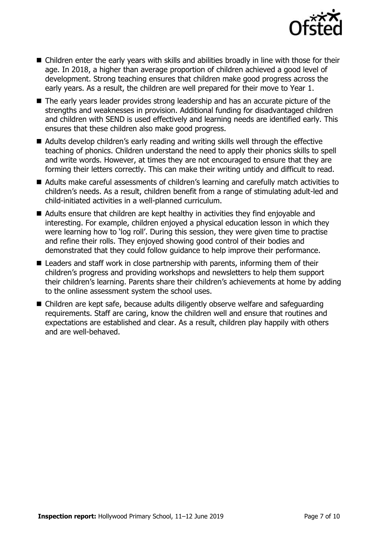

- Children enter the early years with skills and abilities broadly in line with those for their age. In 2018, a higher than average proportion of children achieved a good level of development. Strong teaching ensures that children make good progress across the early years. As a result, the children are well prepared for their move to Year 1.
- The early years leader provides strong leadership and has an accurate picture of the strengths and weaknesses in provision. Additional funding for disadvantaged children and children with SEND is used effectively and learning needs are identified early. This ensures that these children also make good progress.
- Adults develop children's early reading and writing skills well through the effective teaching of phonics. Children understand the need to apply their phonics skills to spell and write words. However, at times they are not encouraged to ensure that they are forming their letters correctly. This can make their writing untidy and difficult to read.
- Adults make careful assessments of children's learning and carefully match activities to children's needs. As a result, children benefit from a range of stimulating adult-led and child-initiated activities in a well-planned curriculum.
- Adults ensure that children are kept healthy in activities they find enjoyable and interesting. For example, children enjoyed a physical education lesson in which they were learning how to 'log roll'. During this session, they were given time to practise and refine their rolls. They enjoyed showing good control of their bodies and demonstrated that they could follow guidance to help improve their performance.
- Leaders and staff work in close partnership with parents, informing them of their children's progress and providing workshops and newsletters to help them support their children's learning. Parents share their children's achievements at home by adding to the online assessment system the school uses.
- Children are kept safe, because adults diligently observe welfare and safeguarding requirements. Staff are caring, know the children well and ensure that routines and expectations are established and clear. As a result, children play happily with others and are well-behaved.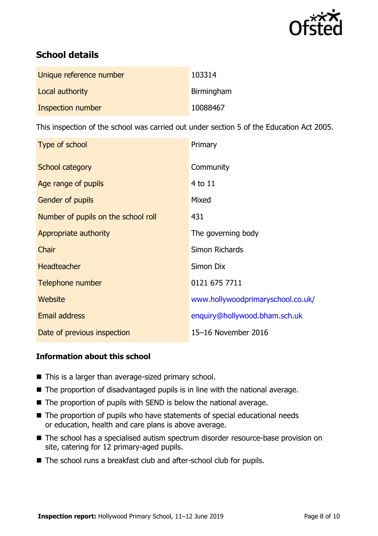

# **School details**

| Unique reference number | 103314     |
|-------------------------|------------|
| Local authority         | Birmingham |
| Inspection number       | 10088467   |

This inspection of the school was carried out under section 5 of the Education Act 2005.

| Type of school                      | Primary                           |
|-------------------------------------|-----------------------------------|
| School category                     | Community                         |
| Age range of pupils                 | $4$ to $11$                       |
| <b>Gender of pupils</b>             | Mixed                             |
| Number of pupils on the school roll | 431                               |
| Appropriate authority               | The governing body                |
| Chair                               | Simon Richards                    |
| <b>Headteacher</b>                  | Simon Dix                         |
| Telephone number                    | 0121 675 7711                     |
| Website                             | www.hollywoodprimaryschool.co.uk/ |
| Email address                       | enquiry@hollywood.bham.sch.uk     |
| Date of previous inspection         | 15-16 November 2016               |

#### **Information about this school**

- This is a larger than average-sized primary school.
- The proportion of disadvantaged pupils is in line with the national average.
- The proportion of pupils with SEND is below the national average.
- The proportion of pupils who have statements of special educational needs or education, health and care plans is above average.
- The school has a specialised autism spectrum disorder resource-base provision on site, catering for 12 primary-aged pupils.
- The school runs a breakfast club and after-school club for pupils.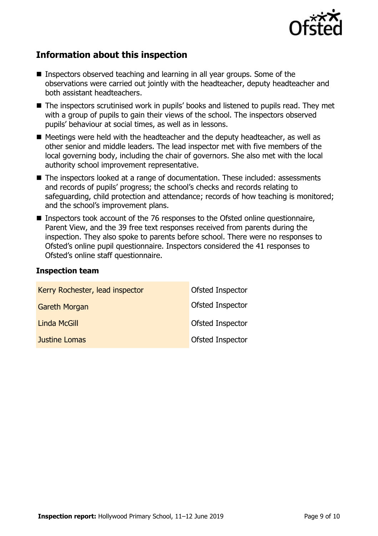

# **Information about this inspection**

- Inspectors observed teaching and learning in all year groups. Some of the observations were carried out jointly with the headteacher, deputy headteacher and both assistant headteachers.
- The inspectors scrutinised work in pupils' books and listened to pupils read. They met with a group of pupils to gain their views of the school. The inspectors observed pupils' behaviour at social times, as well as in lessons.
- $\blacksquare$  Meetings were held with the headteacher and the deputy headteacher, as well as other senior and middle leaders. The lead inspector met with five members of the local governing body, including the chair of governors. She also met with the local authority school improvement representative.
- The inspectors looked at a range of documentation. These included: assessments and records of pupils' progress; the school's checks and records relating to safeguarding, child protection and attendance; records of how teaching is monitored; and the school's improvement plans.
- Inspectors took account of the 76 responses to the Ofsted online questionnaire, Parent View, and the 39 free text responses received from parents during the inspection. They also spoke to parents before school. There were no responses to Ofsted's online pupil questionnaire. Inspectors considered the 41 responses to Ofsted's online staff questionnaire.

#### **Inspection team**

| Kerry Rochester, lead inspector | Ofsted Inspector |
|---------------------------------|------------------|
| <b>Gareth Morgan</b>            | Ofsted Inspector |
| <b>Linda McGill</b>             | Ofsted Inspector |
| Justine Lomas                   | Ofsted Inspector |